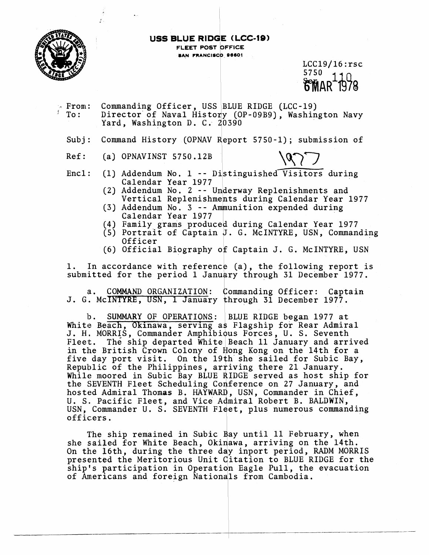

#### **USS BLUE RIDGE (LCC-19) FLEET POST OFFICE \$AN FRANCISCO 98601**

 $LCC19/16:$ rsc 5750

;- From: Commanding Officer, USS JBLUE RIDGE (LCC-19) To: Director'of Naval History (OP-09B9), Washington Navy Commanding Officer, USS BLUE<br>Director of Naval History (OP<br>Yard, Washington D. C. 20390

Subj: Command History (OPNAV Report 5750-1); submission of

Ref: (a) OPNAVINST 5750.12B

- Encl: (1) Addendum No. 1 -- Distinguished Visitors during Calendar Year 1977
	- **(2)** Addendum No. 2 -- Underway Replenishments and Vertical Replenishments during Calendar Year 1977
	- $(3)$  Addendum No. 3 -- Ammunition expended during Calendar Year 1977
	- (4) Family grams produce'd during Calendar Year 1977
	- $(5)$  Portrait of Captain J. G. McINTYRE, USN, Commanding Officer
	- (6) Official Biography of Captain J. G. McINTYRE, USN

1. In accordance with reference (a), the following report is submitted for the period 1 January through 31 December 1977.

a. COMMAND ORGANIZATION: Commanding Officer: Captain J. G. McINTYRE, USN, 1 January through 31 December 1977.

**13.** SUMMARY OF OPERATIQNS : BLUE RIDGE began 1977 at White Beach, Okinawa, serving as Flagship for Rear Admiral J. H. MORRIS, Commander Amphibious Forces, U. S. Seventh Fleet. The ship departed White Beach 11 January and arrived in the British Crown Colony of Hong Kong on the 14th for a five day port visit. On the 19th she sailed for Subic Bay, Republic of the Philippines, arriving there 21 January. While moored in Subic Bay BLUE RIDGE served as host ship for the SEVENTH Fleet Scheduling Conference on 27 January, and hosted Admiral Thomas B. HAYWARD, USN, Commander in Chief, U. S. Pacific Fleet, and Vice Admiral Robert B. BALDWIN, USN, Commander U. S. SEVENTH Fleet, plus numerous commanding officers.

The ship remained in Subic Bay until 11 February, when she sailed for White Beach, Okinawa, arriving on the 14th. On the 16th, during the three day inport period, RADM MORRIS presented the Meritorious Unit Citation to BLUE RIDGE for the ship's participation in Operation Eagle Pull, the evacuation of Americans and foreign Nationals from Cambodia.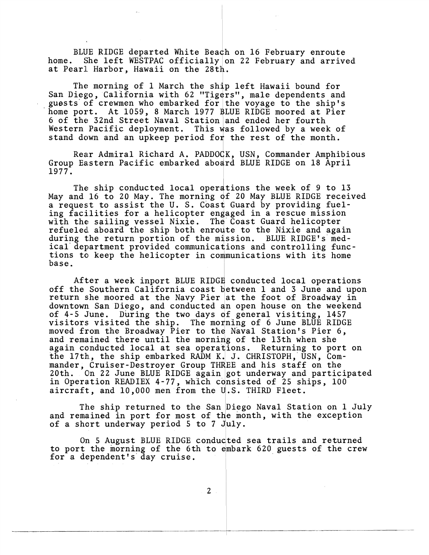BLUE RIDGE departed White Beach on 16 February enroute home. She left WESTPAC officially on 22 February and arrived at Pearl Harbor, Hawaii on the 28th.

The morning of 1 March the ship left Hawaii bound for San Diego, California with 62 "Tigers", male dependents and guests' of crewmen who embarked for **9** the voyage to the ship's home port. At 1059, 8 March 1977 BLUE RIDGE moored at Pier 6 of the 32nd Street Naval Station and ended her fourth Western Pacific deployment. This was followed by a week of stand down and an upkeep period for the rest of the month.

Rear Admiral Richard A. PADDOCK, USN, Commander Amphibious Group Eastern Pacific embarked aboard BLUE RIDGE on 18 April 1977.

The ship conducted local operations the week of 9 to 13 May and 16 to 20 May. The morning of 20 May BLUE RIDGE received a request to assist the U.S. Coast Guard by providing fueling facilities for a helicopter engaged in a rescue mission with the sailing vessel Nixie. The Coast Guard helicopter refueled aboard the ship both enroute to the Nixie and again during the return portion of the mission. BLUE RIDGE's medical department provided communications and controlling functions to keep the helicopter in communications with its home base.

After a week inport BLUE RIDGE conducted local operations off the Southern California coast between 1 and 3 June and upon return she moored at the Navy Pier at the foot of Broadway in downtown San Diego, and conducted an open house on the weekend of 4-5 June. During the two days of general visiting, 1457 visitors visited the ship. The mo **9** ning of 6 June BLUE RIDGE moved from the Broadway Pier to the Naval Station's Pier 6, and remained there until the morning of the 13th when she again conducted local at sea operations. Returning to port on the 17th., the ship embarked **RADM** K. J. CHRISTOPH, USN, Commander, Cruiser-Destroyer Group THREE and his staff on the 20th. On 22 June BLUE RIDGE again got underway and partic: On 22 June BLUE RIDGE again got underway and participated in Operation READIEX 4-77, which consisted of 25 ships, 100 aircraft, and 10,000 men from the U.S. THIRD Fleet.

The ship returned to the San Diego Naval Station on 1 July and remained in port for most of the month, with the exception of a short underway period  $5$  to  $7$  July.

On 5 August BLUE RIDGE conducted sea trails and returned to port the morning of the 6th to embark 620 guests of the crew for a dependent's day cruise.

 $\overline{2}$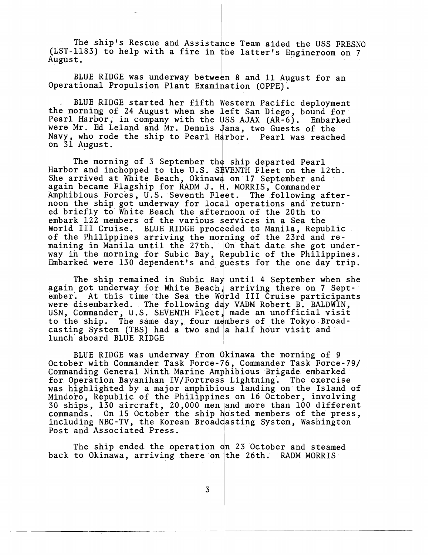The ship's Rescue and Assistance Team aided the USS FRESNO (LST-1183) to help with a fire in the latter's Engineroom on 7 August .

BLUE RIDGE was underway between 8 and 11 August for an Operational Propulsion Plant Examination (OPPE).

. BLUE RIDGE started her fifth Western Pacific deployment the morning of 24 August when she left San Diego, bound for Pearl Harbor, in company with the USS AJAX  $AR-6$ ). Embarked were Mr. Ed Leland and Mr. Dennis Jana, two Guests of the Navy, who rode the ship to Pearl Harbor. Pearl was reached on 31 August.

The morning of 3 September the ship departed Pearl The morning of 3 September the ship departed Pearl<br>Harbor and inchopped to the U.S. SEVENTH Fleet on the 12th.<br>She arrived at White Beach, Okinawa on 17 September and<br>again became Flagship for RADM J. H. MORRIS, Commander<br> She arrived at White Beach, Okinawa on 17 September and again became Flagship for RADM J. H. MORRIS, Commander<br>Amphibious Forces, U.S. Seventh Fleet. The following afternoon the ship got underway for local operations and'returned briefly to White Beach the afternoon of the 20th to embark 122 members of the various services in a Sea the World III Cruise. BLUE RIDGE proceeded to Manila, Republic of the Philippines arriving the morning of the 23rd and remaining in Manila until the 27th. On that date she got underway in the morning for Subic Bay, Republic of the Philippines. Embarked were  $130$  dependent's and guests for the one day trip.

The ship remained in Subic Bay until 4 September when she again got underway for White Beach, arriving there on 7 September. At this time the Sea the World III Cruise participants were disembarked. The following day VADM Robert B. BALDWIN, were disembarked. The following day VADM Robert B. BALDWIN,<br>USN, Commander, U.S. SEVENTH Fleet, made an unofficial visit<br>to the ship . The same day: four mombers of the Tokyo Broad. lunch' aboard BLUE RIDGE to the ship. The same day, four members of the Tokyo Broadcasting System (TBS) had a two and a half hour visit and

BLUE RIDGE was underway from Okinawa the morning of 9 October with Commander Task Force-76, Commander Task Force-79/ Commanding General Ninth Marine Amphibious Brigade embarked for Operation Bayanihan IV/Fortress Lightning. The exercise was highlighted by a major amphibious landing on the Island of Mindoro, Republic of the Philippines on 16 October, involving 30 ships, 130 aircraft, 20,000 men and more than 100 different commands. On 15 October the ship hosted members of the press, including NBC-TV, the Korean Broadcasting System, Washington Post and Associated Press.

The ship ended the operation on 23 October and steamed back to Okinawa, arriving there on the 26th. RADM MORRIS

3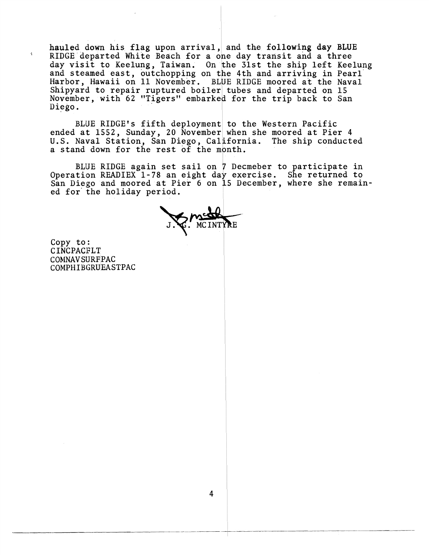hauled down his flag upon arrival,) and the following day BLUE RIDGE departed White Beach for a one day transit and a three day visit to Keelung, Taiwan. On the 31st the ship left Keelung and steamed east, outchopping on the 4th and arriving in Pearl Harbor, Hawaii on 11 November. BLUE RIDGE moored at the Naval Shipyard to repair ruptured boiler tubes and departed on 15 November, with 62 "Tigers" embarked for the trip back to San Diego.

BLUE RIDGE's fifth deployment to the Western Pacific ended at 1552, Sunday, 20 November when she moored at Pier 4 U.S. Naval Station, San Diego, Cal'fornia. The ship conducted a stand down for the rest of the month.

BLUE RIDGE again set sail on 7 Decmeber to participate in DES RIDGE again set sail on 7 Beckeber to participate in<br>Operation READIEX 1-78 an eight day exercise. She returned to ed for'the holiday period. San Diego and moored at Pier 6 on 15 December, where she remain-

Copy to: CINCPACFLT COMNAV SIJRFIPAC COMPHIBGRUEASTPAC

 $\mathbf{A}$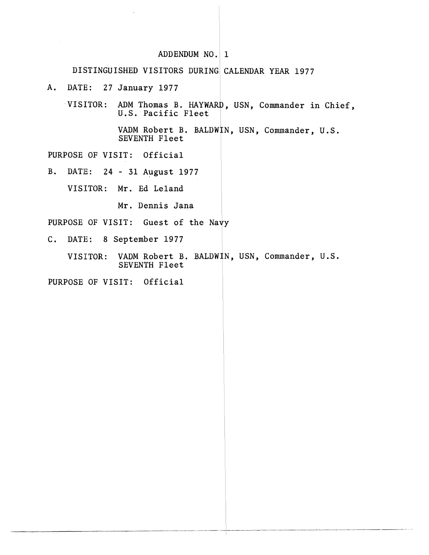# ADDENDUM NO. 1

## DISTINGUISHED VISITORS DURING CALENDAR YEAR 1977

A. DATE: 27 January 1977 <sup>I</sup>

VISITOR: ADM Thomas B. HAYWARD, USN, Commander in Chief, J.S. Pacific Fleet  $\parallel$ 

> VADM Robert B. BALDWIN, USN, Commander, U.S. SEVENTH Fleet

PURPOSE OF VISIT: Official

B. DATE: 24 - 31 August 1977

VISITOR: Mr. Ed Leland

Mr. Dennis Jana

PURPOSE OF VISIT: Guest of the Nayy

C. DATE: 8 September 1977

VISITOR: VADM Robert B. BALDWIN, USN, Commander, U.S. SEVENTH Fleet

PURPOSE OF VISIT: Official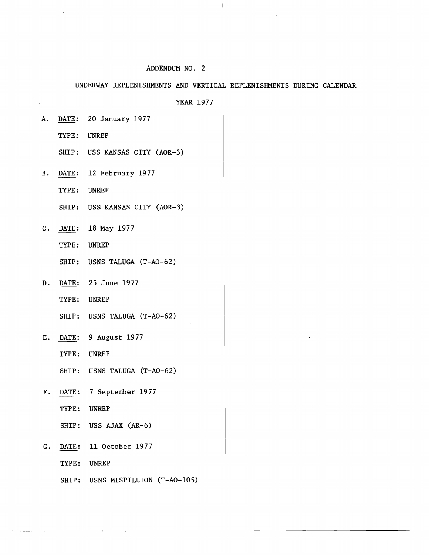#### ADDENDUM NO. 2

#### UNDERWAY REPLENISHMENTS AND VERTICAL REPLENISHMENTS DURING CALENDAR

L

YEAR 1977

A. DATE: 20 January 1977

TYPE: UNREP

 $\lambda$ 

 $\sim$ 

SHIP: USS KANSAS CITY (AOR-3)

B. DATE: 12 February 1977

TYPE: UNREP

SHIP: USS KANSAS CITY (AOR-3)

C. <u>DATE</u>: 18 May 1977<br>TYPE: UNREP

**UNREP** 

SHIP: USRS TALUGA (T-AO-62)

- D. DATE: 25 June 1977
	- TYPE: UNREP

SHIP: USMS TALUGA (T-AO-62)

E. DATE: 9 August 1977

TYPE: UNREP

SHIP: USNS TALUGA (T-AO-62)

- F. DATE: 7 September 1977
	- TYPE: UNREP

SHIP : USS AJAX **(AR-6)** 

G. DATE: 11 October 1977

TYPE: UNREP

SHIP: USNS MISPILLION (T-AO-105)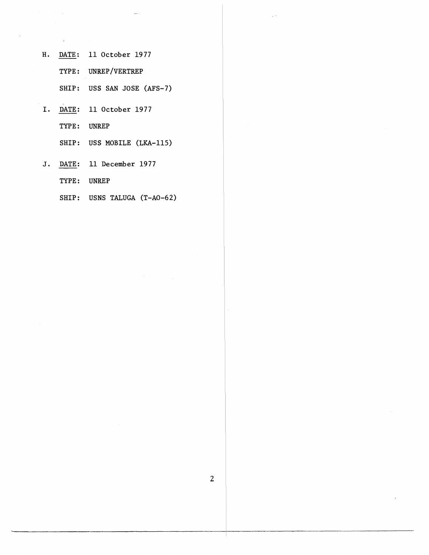- H. DATE: 11 October 1977
	- TYPE: UNREP/VERTREP
	- SHIP: USS SAN JOSE (AFS-7)
- I. DATE: 11 October 1977 TYPE: UNREP

SHIP: USS MOBILE (LKA-115)

- J. DATE: 11 December 1977 TYPE: UNREP
	- SHIP: USNS TALUGA (T-AO-62)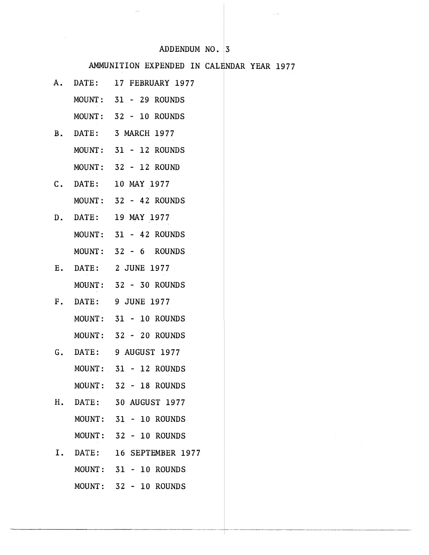### ADDENDUM NO.  $|3|$

# AMMUNITION EXPENDED IN CALENDAR YEAR 1977

- A. DATE: 17 FEBRUARY 1977
	- MOUNT: 31 29 ROUNDS
	- MOUNT: 32 10 ROUNDS
- B. DATE: 3 MARCH 1977
	- MOUNT: 31 12 ROUNDS
		- MOUNT : 32 12 ROUND
- C. DATE: 10 MAY 1977
	- MOUNT: 32 42 ROUNDS
- D. DATE: 19 MAY 1977
	- MOUNT: 31 42 ROUNDS
	- MOUNT: 32 6 ROUNDS
- E. DATE: 2JUNE1977 MOUNT : 32 - 30 ROUNDS
- F. DATE: 9JUNE1977 MOUNT: 31 - 10 ROUNDS
	- MOUNT: 32 20 ROUNDS
- **G. DATE: 9 AUGUST 1977** MOUNT: 31 - 12 ROUNDS MOUNT: 32 - 18 ROUNDS
- H. DATE: 30 AUGUST 1977 MOUNT: 31 - 10 ROUNDS MOUNT: 32 - 10 ROUNDS
- I. DATE: 16 SEPTEMBER 1977 MOUNT: 31 - 10 ROUNDS MOUNT: 32 - 10 ROUNDS